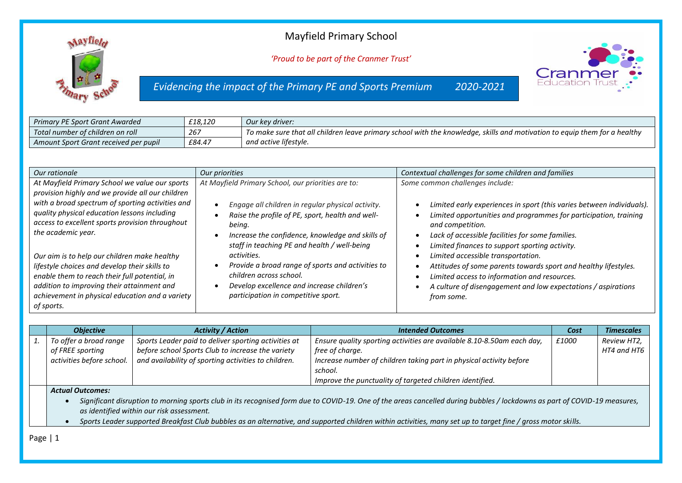## Mayfield Primary School



*'Proud to be part of the Cranmer Trust'*

*Evidencing the impact of the Primary PE and Sports Premium 2020-2021*



| Primary PE Sport Grant Awarded        | £18.120 | Our key driver:                                                                                                           |
|---------------------------------------|---------|---------------------------------------------------------------------------------------------------------------------------|
| Total number of children on roll      | 267     | To make sure that all children leave primary school with the knowledge, skills and motivation to equip them for a healthy |
| Amount Sport Grant received per pupil | £84.47  | and active lifestyle.                                                                                                     |

| Our rationale                                                                                                                                                                                                                                                 | Our priorities                                                                                                                                                                                                                   | Contextual challenges for some children and families                                                                                                                                                                                                                                                            |
|---------------------------------------------------------------------------------------------------------------------------------------------------------------------------------------------------------------------------------------------------------------|----------------------------------------------------------------------------------------------------------------------------------------------------------------------------------------------------------------------------------|-----------------------------------------------------------------------------------------------------------------------------------------------------------------------------------------------------------------------------------------------------------------------------------------------------------------|
| At Mayfield Primary School we value our sports<br>provision highly and we provide all our children                                                                                                                                                            | At Mayfield Primary School, our priorities are to:                                                                                                                                                                               | Some common challenges include:                                                                                                                                                                                                                                                                                 |
| with a broad spectrum of sporting activities and<br>quality physical education lessons including<br>access to excellent sports provision throughout<br>the academic year.                                                                                     | Engage all children in regular physical activity.<br>Raise the profile of PE, sport, health and well-<br>being.<br>Increase the confidence, knowledge and skills of<br>$\bullet$<br>staff in teaching PE and health / well-being | Limited early experiences in sport (this varies between individuals).<br>$\bullet$<br>Limited opportunities and programmes for participation, training<br>$\bullet$<br>and competition.<br>Lack of accessible facilities for some families.<br>$\bullet$<br>Limited finances to support sporting activity.<br>٠ |
| Our aim is to help our children make healthy<br>lifestyle choices and develop their skills to<br>enable them to reach their full potential, in<br>addition to improving their attainment and<br>achievement in physical education and a variety<br>of sports. | activities.<br>Provide a broad range of sports and activities to<br>children across school.<br>Develop excellence and increase children's<br>participation in competitive sport.                                                 | Limited accessible transportation.<br>Attitudes of some parents towards sport and healthy lifestyles.<br>Limited access to information and resources.<br>٠<br>A culture of disengagement and low expectations / aspirations<br>from some.                                                                       |

| <b>Objective</b>          | <b>Activity / Action</b>                             | <b>Intended Outcomes</b>                                               | Cost  | <b>Timescales</b> |
|---------------------------|------------------------------------------------------|------------------------------------------------------------------------|-------|-------------------|
| To offer a broad range    | Sports Leader paid to deliver sporting activities at | Ensure quality sporting activities are available 8.10-8.50am each day, | £1000 | Review HT2,       |
| of FREE sporting          | before school Sports Club to increase the variety    | free of charge.                                                        |       | HT4 and HT6       |
| activities before school. | and availability of sporting activities to children. | Increase number of children taking part in physical activity before    |       |                   |
|                           |                                                      | school.                                                                |       |                   |
|                           |                                                      | Improve the punctuality of targeted children identified.               |       |                   |
| <b>Actual Outcomes:</b>   |                                                      |                                                                        |       |                   |

• *Significant disruption to morning sports club in its recognised form due to COVID-19. One of the areas cancelled during bubbles / lockdowns as part of COVID-19 measures, as identified within our risk assessment.*

• *Sports Leader supported Breakfast Club bubbles as an alternative, and supported children within activities, many set up to target fine / gross motor skills.*

Page | 1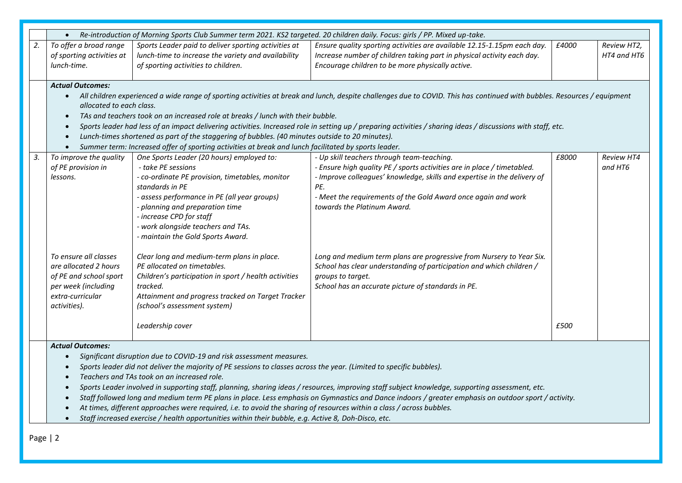|    | Re-introduction of Morning Sports Club Summer term 2021. KS2 targeted. 20 children daily. Focus: girls / PP. Mixed up-take.                                                                                                                                                                                                                                                                                                                                                                                                                                                                                                                                                                                             |                                                                                                                                                                                                                                                                                                                                 |                                                                                                                                                                                                                                                                                                                                             |       |                              |  |
|----|-------------------------------------------------------------------------------------------------------------------------------------------------------------------------------------------------------------------------------------------------------------------------------------------------------------------------------------------------------------------------------------------------------------------------------------------------------------------------------------------------------------------------------------------------------------------------------------------------------------------------------------------------------------------------------------------------------------------------|---------------------------------------------------------------------------------------------------------------------------------------------------------------------------------------------------------------------------------------------------------------------------------------------------------------------------------|---------------------------------------------------------------------------------------------------------------------------------------------------------------------------------------------------------------------------------------------------------------------------------------------------------------------------------------------|-------|------------------------------|--|
| 2. | To offer a broad range<br>of sporting activities at<br>lunch-time.                                                                                                                                                                                                                                                                                                                                                                                                                                                                                                                                                                                                                                                      | Sports Leader paid to deliver sporting activities at<br>lunch-time to increase the variety and availability<br>of sporting activities to children.                                                                                                                                                                              | Ensure quality sporting activities are available 12.15-1.15pm each day.<br>Increase number of children taking part in physical activity each day.<br>Encourage children to be more physically active.                                                                                                                                       | £4000 | Review HT2,<br>HT4 and HT6   |  |
|    | <b>Actual Outcomes:</b><br>allocated to each class.<br>$\bullet$                                                                                                                                                                                                                                                                                                                                                                                                                                                                                                                                                                                                                                                        | TAs and teachers took on an increased role at breaks / lunch with their bubble.<br>Lunch-times shortened as part of the staggering of bubbles. (40 minutes outside to 20 minutes).<br>Summer term: Increased offer of sporting activities at break and lunch facilitated by sports leader.                                      | • All children experienced a wide range of sporting activities at break and lunch, despite challenges due to COVID. This has continued with bubbles. Resources / equipment<br>Sports leader had less of an impact delivering activities. Increased role in setting up / preparing activities / sharing ideas / discussions with staff, etc. |       |                              |  |
| 3. | To improve the quality<br>of PE provision in<br>lessons.                                                                                                                                                                                                                                                                                                                                                                                                                                                                                                                                                                                                                                                                | One Sports Leader (20 hours) employed to:<br>- take PE sessions<br>- co-ordinate PE provision, timetables, monitor<br>standards in PE<br>- assess performance in PE (all year groups)<br>- planning and preparation time<br>- increase CPD for staff<br>- work alongside teachers and TAs.<br>- maintain the Gold Sports Award. | - Up skill teachers through team-teaching.<br>- Ensure high quality PE / sports activities are in place / timetabled.<br>- Improve colleagues' knowledge, skills and expertise in the delivery of<br>PE.<br>- Meet the requirements of the Gold Award once again and work<br>towards the Platinum Award.                                    | £8000 | <b>Review HT4</b><br>and HT6 |  |
|    | To ensure all classes<br>are allocated 2 hours<br>of PE and school sport<br>per week (including<br>extra-curricular<br>activities).                                                                                                                                                                                                                                                                                                                                                                                                                                                                                                                                                                                     | Clear long and medium-term plans in place.<br>PE allocated on timetables.<br>Children's participation in sport / health activities<br>tracked.<br>Attainment and progress tracked on Target Tracker<br>(school's assessment system)<br>Leadership cover                                                                         | Long and medium term plans are progressive from Nursery to Year Six.<br>School has clear understanding of participation and which children /<br>groups to target.<br>School has an accurate picture of standards in PE.                                                                                                                     | £500  |                              |  |
|    | <b>Actual Outcomes:</b><br>Significant disruption due to COVID-19 and risk assessment measures.<br>Sports leader did not deliver the majority of PE sessions to classes across the year. (Limited to specific bubbles).<br>Teachers and TAs took on an increased role.<br>Sports Leader involved in supporting staff, planning, sharing ideas / resources, improving staff subject knowledge, supporting assessment, etc.<br>Staff followed long and medium term PE plans in place. Less emphasis on Gymnastics and Dance indoors / greater emphasis on outdoor sport / activity.<br>At times, different approaches were required, i.e. to avoid the sharing of resources within a class / across bubbles.<br>$\bullet$ |                                                                                                                                                                                                                                                                                                                                 |                                                                                                                                                                                                                                                                                                                                             |       |                              |  |

• *Staff increased exercise / health opportunities within their bubble, e.g. Active 8, Doh-Disco, etc.*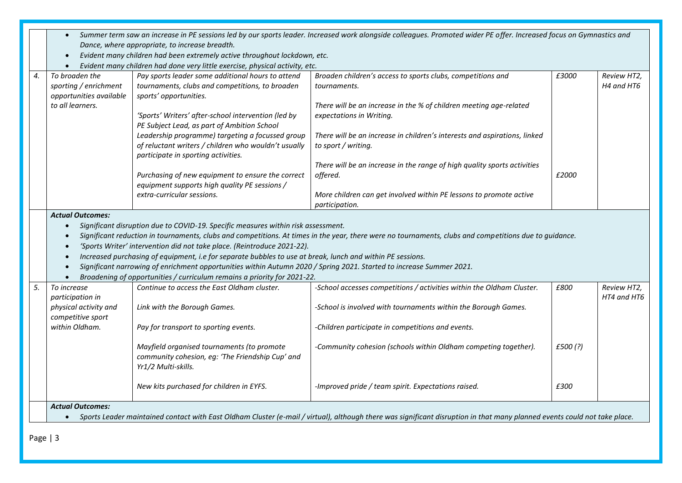|    | Summer term saw an increase in PE sessions led by our sports leader. Increased work alongside colleagues. Promoted wider PE offer. Increased focus on Gymnastics and<br>Dance, where appropriate, to increase breadth.<br>Evident many children had been extremely active throughout lockdown, etc.<br>$\bullet$<br>Evident many children had done very little exercise, physical activity, etc. |                                                                                                                                                                                                                                                                                                                                                                                                                                                                                |                                                                                                                                                                                                                                                                                   |                 |                            |  |  |
|----|--------------------------------------------------------------------------------------------------------------------------------------------------------------------------------------------------------------------------------------------------------------------------------------------------------------------------------------------------------------------------------------------------|--------------------------------------------------------------------------------------------------------------------------------------------------------------------------------------------------------------------------------------------------------------------------------------------------------------------------------------------------------------------------------------------------------------------------------------------------------------------------------|-----------------------------------------------------------------------------------------------------------------------------------------------------------------------------------------------------------------------------------------------------------------------------------|-----------------|----------------------------|--|--|
| 4. | To broaden the<br>sporting / enrichment<br>opportunities available<br>to all learners.                                                                                                                                                                                                                                                                                                           | Pay sports leader some additional hours to attend<br>tournaments, clubs and competitions, to broaden<br>sports' opportunities.<br>'Sports' Writers' after-school intervention (led by<br>PE Subject Lead, as part of Ambition School<br>Leadership programme) targeting a focussed group<br>of reluctant writers / children who wouldn't usually                                                                                                                               | Broaden children's access to sports clubs, competitions and<br>tournaments.<br>There will be an increase in the % of children meeting age-related<br>expectations in Writing.<br>There will be an increase in children's interests and aspirations, linked<br>to sport / writing. | £3000           | Review HT2,<br>H4 and HT6  |  |  |
|    |                                                                                                                                                                                                                                                                                                                                                                                                  | participate in sporting activities.<br>Purchasing of new equipment to ensure the correct<br>equipment supports high quality PE sessions /<br>extra-curricular sessions.                                                                                                                                                                                                                                                                                                        | There will be an increase in the range of high quality sports activities<br>offered.<br>More children can get involved within PE lessons to promote active<br>participation.                                                                                                      | £2000           |                            |  |  |
|    | <b>Actual Outcomes:</b><br>$\bullet$<br>$\bullet$<br>$\bullet$<br>$\bullet$<br>$\bullet$                                                                                                                                                                                                                                                                                                         | Significant disruption due to COVID-19. Specific measures within risk assessment.<br>'Sports Writer' intervention did not take place. (Reintroduce 2021-22).<br>Increased purchasing of equipment, i.e for separate bubbles to use at break, lunch and within PE sessions.<br>Significant narrowing of enrichment opportunities within Autumn 2020 / Spring 2021. Started to increase Summer 2021.<br>Broadening of opportunities / curriculum remains a priority for 2021-22. | Significant reduction in tournaments, clubs and competitions. At times in the year, there were no tournaments, clubs and competitions due to guidance.                                                                                                                            |                 |                            |  |  |
| 5. | To increase<br>participation in<br>physical activity and<br>competitive sport<br>within Oldham.                                                                                                                                                                                                                                                                                                  | Continue to access the East Oldham cluster.<br>Link with the Borough Games.<br>Pay for transport to sporting events.<br>Mayfield organised tournaments (to promote<br>community cohesion, eg: 'The Friendship Cup' and<br>Yr1/2 Multi-skills.                                                                                                                                                                                                                                  | -School accesses competitions / activities within the Oldham Cluster.<br>-School is involved with tournaments within the Borough Games.<br>-Children participate in competitions and events.<br>-Community cohesion (schools within Oldham competing together).                   | £800<br>£500(?) | Review HT2,<br>HT4 and HT6 |  |  |
|    | <b>Actual Outcomes:</b>                                                                                                                                                                                                                                                                                                                                                                          | New kits purchased for children in EYFS.                                                                                                                                                                                                                                                                                                                                                                                                                                       | -Improved pride / team spirit. Expectations raised.<br>Sports Leader maintained contact with East Oldham Cluster (e-mail / virtual), although there was significant disruption in that many planned events could not take place.                                                  | £300            |                            |  |  |

Page | 3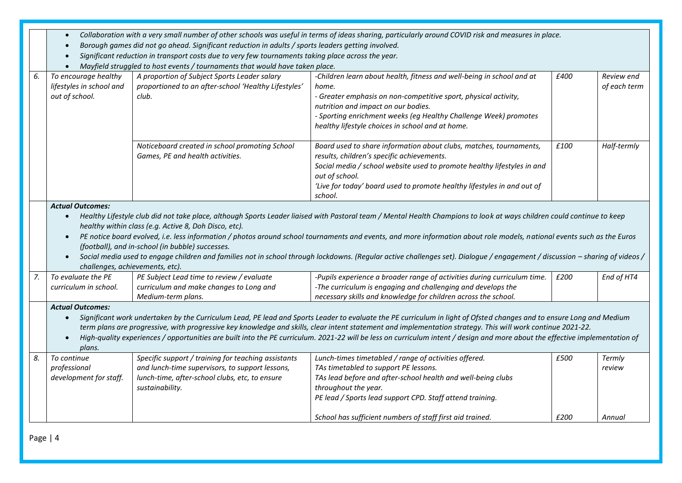- *Collaboration with a very small number of other schools was useful in terms of ideas sharing, particularly around COVID risk and measures in place.*
- *Borough games did not go ahead. Significant reduction in adults / sports leaders getting involved.*
- *Significant reduction in transport costs due to very few tournaments taking place across the year.*
- *Mayfield struggled to host events / tournaments that would have taken place.*

|    |                                                                                                                                                                                                 | $\bullet$ , independent of the contract of the contract of the contract of the contract of the contract of the contract of the contract of the contract of the contract of the contract of the contract of the contract of the con |                                                                                                                                                                              |      |              |  |  |
|----|-------------------------------------------------------------------------------------------------------------------------------------------------------------------------------------------------|------------------------------------------------------------------------------------------------------------------------------------------------------------------------------------------------------------------------------------|------------------------------------------------------------------------------------------------------------------------------------------------------------------------------|------|--------------|--|--|
| 6. | To encourage healthy                                                                                                                                                                            | A proportion of Subject Sports Leader salary                                                                                                                                                                                       | -Children learn about health, fitness and well-being in school and at                                                                                                        | £400 | Review end   |  |  |
|    | lifestyles in school and                                                                                                                                                                        | proportioned to an after-school 'Healthy Lifestyles'                                                                                                                                                                               | home.                                                                                                                                                                        |      | of each term |  |  |
|    | out of school.                                                                                                                                                                                  | club.                                                                                                                                                                                                                              | - Greater emphasis on non-competitive sport, physical activity,                                                                                                              |      |              |  |  |
|    |                                                                                                                                                                                                 |                                                                                                                                                                                                                                    | nutrition and impact on our bodies.                                                                                                                                          |      |              |  |  |
|    |                                                                                                                                                                                                 |                                                                                                                                                                                                                                    | - Sporting enrichment weeks (eg Healthy Challenge Week) promotes                                                                                                             |      |              |  |  |
|    |                                                                                                                                                                                                 |                                                                                                                                                                                                                                    | healthy lifestyle choices in school and at home.                                                                                                                             |      |              |  |  |
|    |                                                                                                                                                                                                 |                                                                                                                                                                                                                                    |                                                                                                                                                                              |      |              |  |  |
|    |                                                                                                                                                                                                 | Noticeboard created in school promoting School                                                                                                                                                                                     | Board used to share information about clubs, matches, tournaments,                                                                                                           | £100 | Half-termly  |  |  |
|    |                                                                                                                                                                                                 | Games, PE and health activities.                                                                                                                                                                                                   | results, children's specific achievements.                                                                                                                                   |      |              |  |  |
|    |                                                                                                                                                                                                 |                                                                                                                                                                                                                                    | Social media / school website used to promote healthy lifestyles in and                                                                                                      |      |              |  |  |
|    |                                                                                                                                                                                                 |                                                                                                                                                                                                                                    | out of school.                                                                                                                                                               |      |              |  |  |
|    |                                                                                                                                                                                                 |                                                                                                                                                                                                                                    | 'Live for today' board used to promote healthy lifestyles in and out of                                                                                                      |      |              |  |  |
|    |                                                                                                                                                                                                 |                                                                                                                                                                                                                                    | school.                                                                                                                                                                      |      |              |  |  |
|    | <b>Actual Outcomes:</b>                                                                                                                                                                         |                                                                                                                                                                                                                                    |                                                                                                                                                                              |      |              |  |  |
|    | $\bullet$                                                                                                                                                                                       |                                                                                                                                                                                                                                    | Healthy Lifestyle club did not take place, although Sports Leader liaised with Pastoral team / Mental Health Champions to look at ways children could continue to keep       |      |              |  |  |
|    |                                                                                                                                                                                                 | healthy within class (e.g. Active 8, Doh Disco, etc).                                                                                                                                                                              |                                                                                                                                                                              |      |              |  |  |
|    | $\bullet$                                                                                                                                                                                       |                                                                                                                                                                                                                                    | PE notice board evolved, i.e. less information / photos around school tournaments and events, and more information about role models, national events such as the Euros      |      |              |  |  |
|    |                                                                                                                                                                                                 | (football), and in-school (in bubble) successes.                                                                                                                                                                                   |                                                                                                                                                                              |      |              |  |  |
|    | Social media used to engage children and families not in school through lockdowns. (Regular active challenges set). Dialogue / engagement / discussion - sharing of videos /                    |                                                                                                                                                                                                                                    |                                                                                                                                                                              |      |              |  |  |
|    | challenges, achievements, etc).                                                                                                                                                                 |                                                                                                                                                                                                                                    |                                                                                                                                                                              |      |              |  |  |
| 7. | To evaluate the PE                                                                                                                                                                              | PE Subject Lead time to review / evaluate                                                                                                                                                                                          | -Pupils experience a broader range of activities during curriculum time.                                                                                                     | £200 | End of HT4   |  |  |
|    | curriculum in school.                                                                                                                                                                           | curriculum and make changes to Long and                                                                                                                                                                                            | -The curriculum is engaging and challenging and develops the                                                                                                                 |      |              |  |  |
|    |                                                                                                                                                                                                 | Medium-term plans.                                                                                                                                                                                                                 | necessary skills and knowledge for children across the school.                                                                                                               |      |              |  |  |
|    |                                                                                                                                                                                                 |                                                                                                                                                                                                                                    |                                                                                                                                                                              |      |              |  |  |
|    | <b>Actual Outcomes:</b><br>Significant work undertaken by the Curriculum Lead, PE lead and Sports Leader to evaluate the PE curriculum in light of Ofsted changes and to ensure Long and Medium |                                                                                                                                                                                                                                    |                                                                                                                                                                              |      |              |  |  |
|    | $\bullet$                                                                                                                                                                                       |                                                                                                                                                                                                                                    |                                                                                                                                                                              |      |              |  |  |
|    |                                                                                                                                                                                                 |                                                                                                                                                                                                                                    | term plans are progressive, with progressive key knowledge and skills, clear intent statement and implementation strategy. This will work continue 2021-22.                  |      |              |  |  |
|    | $\bullet$                                                                                                                                                                                       |                                                                                                                                                                                                                                    | High-quality experiences / opportunities are built into the PE curriculum. 2021-22 will be less on curriculum intent / design and more about the effective implementation of |      |              |  |  |
|    | plans.                                                                                                                                                                                          |                                                                                                                                                                                                                                    |                                                                                                                                                                              |      |              |  |  |
| 8. | To continue                                                                                                                                                                                     | Specific support / training for teaching assistants                                                                                                                                                                                | Lunch-times timetabled / range of activities offered.                                                                                                                        | £500 | Termly       |  |  |
|    | professional                                                                                                                                                                                    | and lunch-time supervisors, to support lessons,                                                                                                                                                                                    | TAs timetabled to support PE lessons.                                                                                                                                        |      | review       |  |  |
|    | development for staff.                                                                                                                                                                          | lunch-time, after-school clubs, etc, to ensure                                                                                                                                                                                     | TAs lead before and after-school health and well-being clubs                                                                                                                 |      |              |  |  |
|    |                                                                                                                                                                                                 | sustainability.                                                                                                                                                                                                                    | throughout the year.                                                                                                                                                         |      |              |  |  |
|    |                                                                                                                                                                                                 |                                                                                                                                                                                                                                    | PE lead / Sports lead support CPD. Staff attend training.                                                                                                                    |      |              |  |  |
|    |                                                                                                                                                                                                 |                                                                                                                                                                                                                                    |                                                                                                                                                                              |      |              |  |  |
|    |                                                                                                                                                                                                 |                                                                                                                                                                                                                                    | School has sufficient numbers of staff first aid trained.                                                                                                                    | £200 | Annual       |  |  |

Page | 4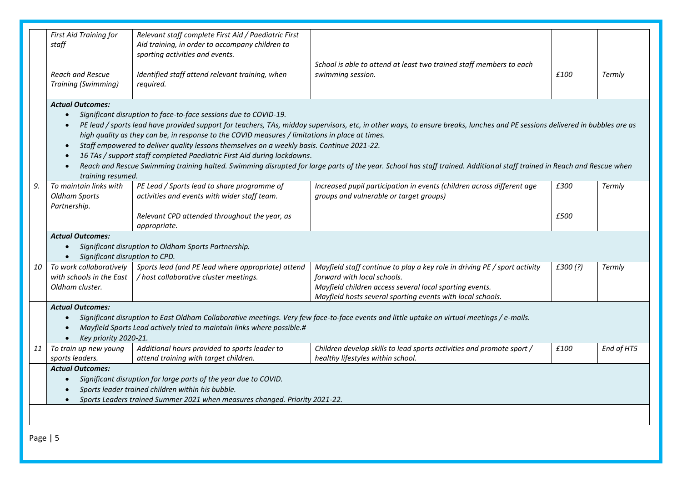|    | First Aid Training for<br>staff<br><b>Reach and Rescue</b><br><b>Training (Swimming)</b>                                                                                                                                                                                               | Relevant staff complete First Aid / Paediatric First<br>Aid training, in order to accompany children to<br>sporting activities and events.<br>Identified staff attend relevant training, when<br>required.                                                                                                                                   | School is able to attend at least two trained staff members to each<br>swimming session.                                                                                                                                                                                                                                                               | £100         | Termly        |  |
|----|----------------------------------------------------------------------------------------------------------------------------------------------------------------------------------------------------------------------------------------------------------------------------------------|----------------------------------------------------------------------------------------------------------------------------------------------------------------------------------------------------------------------------------------------------------------------------------------------------------------------------------------------|--------------------------------------------------------------------------------------------------------------------------------------------------------------------------------------------------------------------------------------------------------------------------------------------------------------------------------------------------------|--------------|---------------|--|
|    | <b>Actual Outcomes:</b><br>$\bullet$<br>$\bullet$<br>training resumed.                                                                                                                                                                                                                 | Significant disruption to face-to-face sessions due to COVID-19.<br>high quality as they can be, in response to the COVID measures / limitations in place at times.<br>Staff empowered to deliver quality lessons themselves on a weekly basis. Continue 2021-22.<br>16 TAs / support staff completed Paediatric First Aid during lockdowns. | PE lead / sports lead have provided support for teachers, TAs, midday supervisors, etc, in other ways, to ensure breaks, lunches and PE sessions delivered in bubbles are as<br>Reach and Rescue Swimming training halted. Swimming disrupted for large parts of the year. School has staff trained. Additional staff trained in Reach and Rescue when |              |               |  |
| 9. | To maintain links with<br><b>Oldham Sports</b><br>Partnership.                                                                                                                                                                                                                         | PE Lead / Sports lead to share programme of<br>activities and events with wider staff team.<br>Relevant CPD attended throughout the year, as<br>appropriate.                                                                                                                                                                                 | Increased pupil participation in events (children across different age<br>groups and vulnerable or target groups)                                                                                                                                                                                                                                      | £300<br>£500 | <b>Termly</b> |  |
|    | <b>Actual Outcomes:</b><br>Significant disruption to CPD.                                                                                                                                                                                                                              | Significant disruption to Oldham Sports Partnership.                                                                                                                                                                                                                                                                                         |                                                                                                                                                                                                                                                                                                                                                        |              |               |  |
| 10 | To work collaboratively<br>with schools in the East<br>Oldham cluster.                                                                                                                                                                                                                 | Sports lead (and PE lead where appropriate) attend<br>/ host collaborative cluster meetings.                                                                                                                                                                                                                                                 | Mayfield staff continue to play a key role in driving PE / sport activity<br>forward with local schools.<br>Mayfield children access several local sporting events.<br>Mayfield hosts several sporting events with local schools.                                                                                                                      | £300 (?)     | <b>Termly</b> |  |
|    | <b>Actual Outcomes:</b><br>Significant disruption to East Oldham Collaborative meetings. Very few face-to-face events and little uptake on virtual meetings / e-mails.<br>$\bullet$<br>Mayfield Sports Lead actively tried to maintain links where possible.#<br>Key priority 2020-21. |                                                                                                                                                                                                                                                                                                                                              |                                                                                                                                                                                                                                                                                                                                                        |              |               |  |
| 11 | To train up new young<br>sports leaders.                                                                                                                                                                                                                                               | Additional hours provided to sports leader to<br>attend training with target children.                                                                                                                                                                                                                                                       | Children develop skills to lead sports activities and promote sport /<br>healthy lifestyles within school.                                                                                                                                                                                                                                             | £100         | End of HT5    |  |
|    | <b>Actual Outcomes:</b><br>Significant disruption for large parts of the year due to COVID.<br>$\bullet$<br>Sports leader trained children within his bubble.<br>Sports Leaders trained Summer 2021 when measures changed. Priority 2021-22.<br>$\bullet$                              |                                                                                                                                                                                                                                                                                                                                              |                                                                                                                                                                                                                                                                                                                                                        |              |               |  |